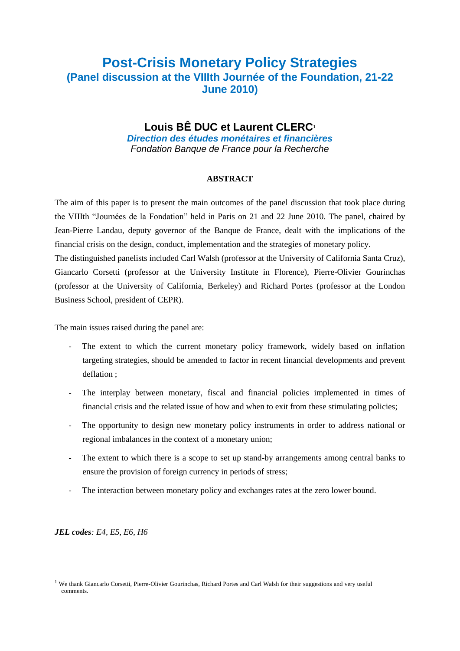# **Post-Crisis Monetary Policy Strategies (Panel discussion at the VIIIth Journée of the Foundation, 21-22 June 2010)**

### **Louis BÊ DUC et Laurent CLERC<sup>1</sup>**

*Direction des études monétaires et financières Fondation Banque de France pour la Recherche*

#### **ABSTRACT**

The aim of this paper is to present the main outcomes of the panel discussion that took place during the VIIIth "Journées de la Fondation" held in Paris on 21 and 22 June 2010. The panel, chaired by Jean-Pierre Landau, deputy governor of the Banque de France, dealt with the implications of the financial crisis on the design, conduct, implementation and the strategies of monetary policy.

The distinguished panelists included Carl Walsh (professor at the University of California Santa Cruz), Giancarlo Corsetti (professor at the University Institute in Florence), Pierre-Olivier Gourinchas (professor at the University of California, Berkeley) and Richard Portes (professor at the London Business School, president of CEPR).

The main issues raised during the panel are:

- The extent to which the current monetary policy framework, widely based on inflation targeting strategies, should be amended to factor in recent financial developments and prevent deflation ;
- The interplay between monetary, fiscal and financial policies implemented in times of financial crisis and the related issue of how and when to exit from these stimulating policies;
- The opportunity to design new monetary policy instruments in order to address national or regional imbalances in the context of a monetary union;
- The extent to which there is a scope to set up stand-by arrangements among central banks to ensure the provision of foreign currency in periods of stress;
- The interaction between monetary policy and exchanges rates at the zero lower bound.

*JEL codes: E4, E5, E6, H6*

-

<sup>&</sup>lt;sup>1</sup> We thank Giancarlo Corsetti, Pierre-Olivier Gourinchas, Richard Portes and Carl Walsh for their suggestions and very useful comments.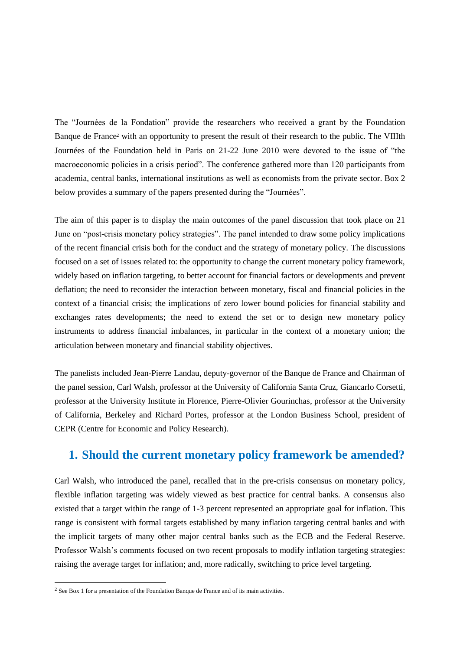The "Journées de la Fondation" provide the researchers who received a grant by the Foundation Banque de France<sup>2</sup> with an opportunity to present the result of their research to the public. The VIIIth Journées of the Foundation held in Paris on 21-22 June 2010 were devoted to the issue of "the macroeconomic policies in a crisis period". The conference gathered more than 120 participants from academia, central banks, international institutions as well as economists from the private sector. Box 2 below provides a summary of the papers presented during the "Journées".

The aim of this paper is to display the main outcomes of the panel discussion that took place on 21 June on "post-crisis monetary policy strategies". The panel intended to draw some policy implications of the recent financial crisis both for the conduct and the strategy of monetary policy. The discussions focused on a set of issues related to: the opportunity to change the current monetary policy framework, widely based on inflation targeting, to better account for financial factors or developments and prevent deflation; the need to reconsider the interaction between monetary, fiscal and financial policies in the context of a financial crisis; the implications of zero lower bound policies for financial stability and exchanges rates developments; the need to extend the set or to design new monetary policy instruments to address financial imbalances, in particular in the context of a monetary union; the articulation between monetary and financial stability objectives.

The panelists included Jean-Pierre Landau, deputy-governor of the Banque de France and Chairman of the panel session, Carl Walsh, professor at the University of California Santa Cruz, Giancarlo Corsetti, professor at the University Institute in Florence, Pierre-Olivier Gourinchas, professor at the University of California, Berkeley and Richard Portes, professor at the London Business School, president of CEPR (Centre for Economic and Policy Research).

### **1. Should the current monetary policy framework be amended?**

Carl Walsh, who introduced the panel, recalled that in the pre-crisis consensus on monetary policy, flexible inflation targeting was widely viewed as best practice for central banks. A consensus also existed that a target within the range of 1-3 percent represented an appropriate goal for inflation. This range is consistent with formal targets established by many inflation targeting central banks and with the implicit targets of many other major central banks such as the ECB and the Federal Reserve. Professor Walsh's comments focused on two recent proposals to modify inflation targeting strategies: raising the average target for inflation; and, more radically, switching to price level targeting.

 $2$  See Box 1 for a presentation of the Foundation Banque de France and of its main activities.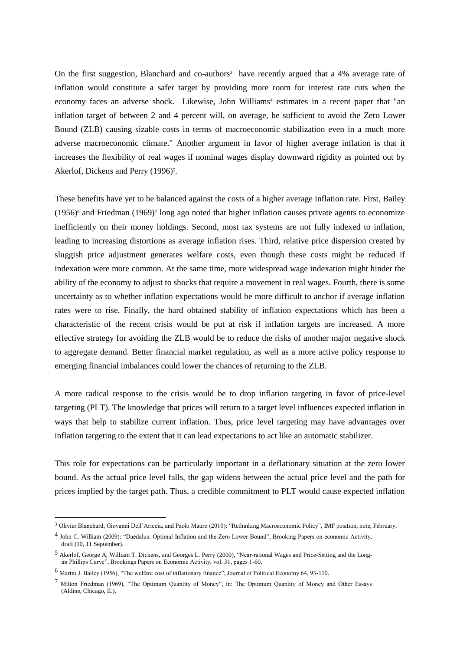On the first suggestion, Blanchard and co-authors<sup>3</sup> have recently argued that a 4% average rate of inflation would constitute a safer target by providing more room for interest rate cuts when the economy faces an adverse shock. Likewise, John Williams<sup>4</sup> estimates in a recent paper that "an inflation target of between 2 and 4 percent will, on average, be sufficient to avoid the Zero Lower Bound (ZLB) causing sizable costs in terms of macroeconomic stabilization even in a much more adverse macroeconomic climate." Another argument in favor of higher average inflation is that it increases the flexibility of real wages if nominal wages display downward rigidity as pointed out by Akerlof, Dickens and Perry (1996)<sup>5</sup>.

These benefits have yet to be balanced against the costs of a higher average inflation rate. First, Bailey  $(1956)$ <sup>6</sup> and Friedman  $(1969)$ <sup>7</sup> long ago noted that higher inflation causes private agents to economize inefficiently on their money holdings. Second, most tax systems are not fully indexed to inflation, leading to increasing distortions as average inflation rises. Third, relative price dispersion created by sluggish price adjustment generates welfare costs, even though these costs might be reduced if indexation were more common. At the same time, more widespread wage indexation might hinder the ability of the economy to adjust to shocks that require a movement in real wages. Fourth, there is some uncertainty as to whether inflation expectations would be more difficult to anchor if average inflation rates were to rise. Finally, the hard obtained stability of inflation expectations which has been a characteristic of the recent crisis would be put at risk if inflation targets are increased. A more effective strategy for avoiding the ZLB would be to reduce the risks of another major negative shock to aggregate demand. Better financial market regulation, as well as a more active policy response to emerging financial imbalances could lower the chances of returning to the ZLB.

A more radical response to the crisis would be to drop inflation targeting in favor of price-level targeting (PLT). The knowledge that prices will return to a target level influences expected inflation in ways that help to stabilize current inflation. Thus, price level targeting may have advantages over inflation targeting to the extent that it can lead expectations to act like an automatic stabilizer.

This role for expectations can be particularly important in a deflationary situation at the zero lower bound. As the actual price level falls, the gap widens between the actual price level and the path for prices implied by the target path. Thus, a credible commitment to PLT would cause expected inflation

<sup>3</sup> Olivier Blanchard, Giovanni Dell'Ariccia, and Paolo Mauro (2010): "Rethinking Macroeconomic Policy", IMF position, note, February.

<sup>4</sup> John C. William (2009): "Daedalus: Optimal Inflation and the Zero Lower Bound", Brooking Papers on economic Activity, draft (10, 11 September).

<sup>5</sup> Akerlof, George A, William T. Dickens, and Georges L. Perry (2000), "Near-rational Wages and Price-Setting and the Longun Phillips Curve", Brookings Papers on Economic Activity, vol. 31, pages 1-60.

<sup>6</sup> Martin J. Bailey (1956), "The welfare cost of inflationary finance", Journal of Political Economy 64, 93-110.

<sup>7</sup> Milton Friedman (1969), "The Optimum Quantity of Money", in: The Optimum Quantity of Money and Other Essays (Aldine, Chicago, IL).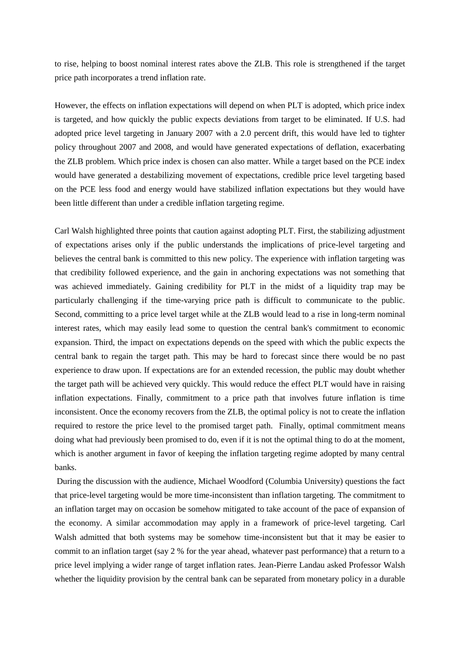to rise, helping to boost nominal interest rates above the ZLB. This role is strengthened if the target price path incorporates a trend inflation rate.

However, the effects on inflation expectations will depend on when PLT is adopted, which price index is targeted, and how quickly the public expects deviations from target to be eliminated. If U.S. had adopted price level targeting in January 2007 with a 2.0 percent drift, this would have led to tighter policy throughout 2007 and 2008, and would have generated expectations of deflation, exacerbating the ZLB problem. Which price index is chosen can also matter. While a target based on the PCE index would have generated a destabilizing movement of expectations, credible price level targeting based on the PCE less food and energy would have stabilized inflation expectations but they would have been little different than under a credible inflation targeting regime.

Carl Walsh highlighted three points that caution against adopting PLT. First, the stabilizing adjustment of expectations arises only if the public understands the implications of price-level targeting and believes the central bank is committed to this new policy. The experience with inflation targeting was that credibility followed experience, and the gain in anchoring expectations was not something that was achieved immediately. Gaining credibility for PLT in the midst of a liquidity trap may be particularly challenging if the time-varying price path is difficult to communicate to the public. Second, committing to a price level target while at the ZLB would lead to a rise in long-term nominal interest rates, which may easily lead some to question the central bank's commitment to economic expansion. Third, the impact on expectations depends on the speed with which the public expects the central bank to regain the target path. This may be hard to forecast since there would be no past experience to draw upon. If expectations are for an extended recession, the public may doubt whether the target path will be achieved very quickly. This would reduce the effect PLT would have in raising inflation expectations. Finally, commitment to a price path that involves future inflation is time inconsistent. Once the economy recovers from the ZLB, the optimal policy is not to create the inflation required to restore the price level to the promised target path. Finally, optimal commitment means doing what had previously been promised to do, even if it is not the optimal thing to do at the moment, which is another argument in favor of keeping the inflation targeting regime adopted by many central banks.

During the discussion with the audience, Michael Woodford (Columbia University) questions the fact that price-level targeting would be more time-inconsistent than inflation targeting. The commitment to an inflation target may on occasion be somehow mitigated to take account of the pace of expansion of the economy. A similar accommodation may apply in a framework of price-level targeting. Carl Walsh admitted that both systems may be somehow time-inconsistent but that it may be easier to commit to an inflation target (say 2 % for the year ahead, whatever past performance) that a return to a price level implying a wider range of target inflation rates. Jean-Pierre Landau asked Professor Walsh whether the liquidity provision by the central bank can be separated from monetary policy in a durable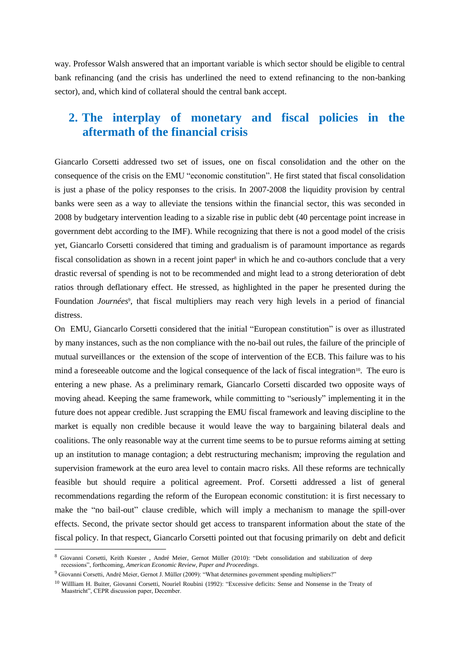way. Professor Walsh answered that an important variable is which sector should be eligible to central bank refinancing (and the crisis has underlined the need to extend refinancing to the non-banking sector), and, which kind of collateral should the central bank accept.

### **2. The interplay of monetary and fiscal policies in the aftermath of the financial crisis**

Giancarlo Corsetti addressed two set of issues, one on fiscal consolidation and the other on the consequence of the crisis on the EMU "economic constitution". He first stated that fiscal consolidation is just a phase of the policy responses to the crisis. In 2007-2008 the liquidity provision by central banks were seen as a way to alleviate the tensions within the financial sector, this was seconded in 2008 by budgetary intervention leading to a sizable rise in public debt (40 percentage point increase in government debt according to the IMF). While recognizing that there is not a good model of the crisis yet, Giancarlo Corsetti considered that timing and gradualism is of paramount importance as regards fiscal consolidation as shown in a recent joint paper<sup>8</sup> in which he and co-authors conclude that a very drastic reversal of spending is not to be recommended and might lead to a strong deterioration of debt ratios through deflationary effect. He stressed, as highlighted in the paper he presented during the Foundation *Journées<sup>9</sup>*, that fiscal multipliers may reach very high levels in a period of financial distress.

On EMU, Giancarlo Corsetti considered that the initial "European constitution" is over as illustrated by many instances, such as the non compliance with the no-bail out rules, the failure of the principle of mutual surveillances or the extension of the scope of intervention of the ECB. This failure was to his mind a foreseeable outcome and the logical consequence of the lack of fiscal integration<sup>10</sup>. The euro is entering a new phase. As a preliminary remark, Giancarlo Corsetti discarded two opposite ways of moving ahead. Keeping the same framework, while committing to "seriously" implementing it in the future does not appear credible. Just scrapping the EMU fiscal framework and leaving discipline to the market is equally non credible because it would leave the way to bargaining bilateral deals and coalitions. The only reasonable way at the current time seems to be to pursue reforms aiming at setting up an institution to manage contagion; a debt restructuring mechanism; improving the regulation and supervision framework at the euro area level to contain macro risks. All these reforms are technically feasible but should require a political agreement. Prof. Corsetti addressed a list of general recommendations regarding the reform of the European economic constitution: it is first necessary to make the "no bail-out" clause credible, which will imply a mechanism to manage the spill-over effects. Second, the private sector should get access to transparent information about the state of the fiscal policy. In that respect, Giancarlo Corsetti pointed out that focusing primarily on debt and deficit

<sup>8</sup> Giovanni Corsetti, Keith Kuester , André Meier, Gernot Müller (2010): "Debt consolidation and stabilization of deep recessions", forthcoming, *American Economic Review, Paper and Proceedings*.

<sup>9</sup> Giovanni Corsetti, André Meier, Gernot J. Müller (2009): "What determines government spending multipliers?"

<sup>&</sup>lt;sup>10</sup> Willliam H. Buiter, Giovanni Corsetti, Nouriel Roubini (1992): "Excessive deficits: Sense and Nonsense in the Treaty of Maastricht", CEPR discussion paper, December.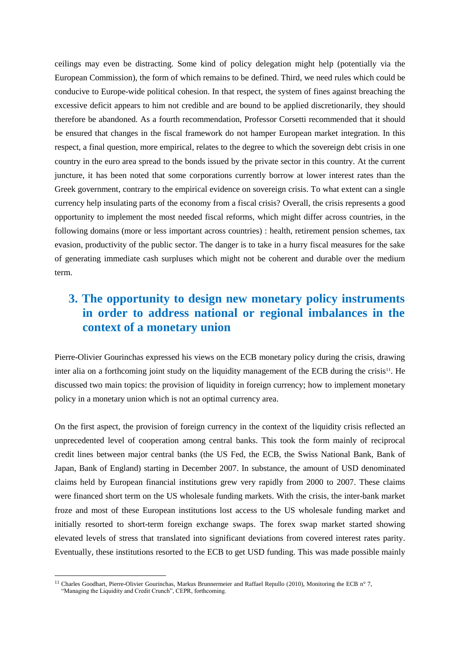ceilings may even be distracting. Some kind of policy delegation might help (potentially via the European Commission), the form of which remains to be defined. Third, we need rules which could be conducive to Europe-wide political cohesion. In that respect, the system of fines against breaching the excessive deficit appears to him not credible and are bound to be applied discretionarily, they should therefore be abandoned. As a fourth recommendation, Professor Corsetti recommended that it should be ensured that changes in the fiscal framework do not hamper European market integration. In this respect, a final question, more empirical, relates to the degree to which the sovereign debt crisis in one country in the euro area spread to the bonds issued by the private sector in this country. At the current juncture, it has been noted that some corporations currently borrow at lower interest rates than the Greek government, contrary to the empirical evidence on sovereign crisis. To what extent can a single currency help insulating parts of the economy from a fiscal crisis? Overall, the crisis represents a good opportunity to implement the most needed fiscal reforms, which might differ across countries, in the following domains (more or less important across countries) : health, retirement pension schemes, tax evasion, productivity of the public sector. The danger is to take in a hurry fiscal measures for the sake of generating immediate cash surpluses which might not be coherent and durable over the medium term.

## **3. The opportunity to design new monetary policy instruments in order to address national or regional imbalances in the context of a monetary union**

Pierre-Olivier Gourinchas expressed his views on the ECB monetary policy during the crisis, drawing inter alia on a forthcoming joint study on the liquidity management of the ECB during the crisis<sup>11</sup>. He discussed two main topics: the provision of liquidity in foreign currency; how to implement monetary policy in a monetary union which is not an optimal currency area.

On the first aspect, the provision of foreign currency in the context of the liquidity crisis reflected an unprecedented level of cooperation among central banks. This took the form mainly of reciprocal credit lines between major central banks (the US Fed, the ECB, the Swiss National Bank, Bank of Japan, Bank of England) starting in December 2007. In substance, the amount of USD denominated claims held by European financial institutions grew very rapidly from 2000 to 2007. These claims were financed short term on the US wholesale funding markets. With the crisis, the inter-bank market froze and most of these European institutions lost access to the US wholesale funding market and initially resorted to short-term foreign exchange swaps. The forex swap market started showing elevated levels of stress that translated into significant deviations from covered interest rates parity. Eventually, these institutions resorted to the ECB to get USD funding. This was made possible mainly

<sup>&</sup>lt;sup>11</sup> Charles Goodhart, Pierre-Olivier Gourinchas, Markus Brunnermeier and Raffael Repullo (2010), Monitoring the ECB n° 7, "Managing the Liquidity and Credit Crunch", CEPR, forthcoming.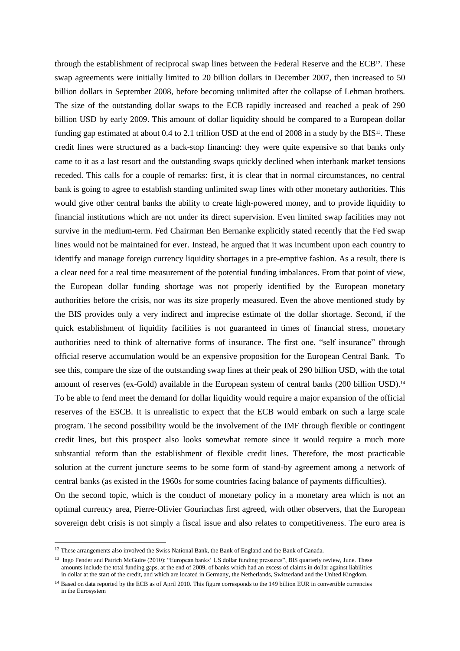through the establishment of reciprocal swap lines between the Federal Reserve and the ECB12. These swap agreements were initially limited to 20 billion dollars in December 2007, then increased to 50 billion dollars in September 2008, before becoming unlimited after the collapse of Lehman brothers. The size of the outstanding dollar swaps to the ECB rapidly increased and reached a peak of 290 billion USD by early 2009. This amount of dollar liquidity should be compared to a European dollar funding gap estimated at about 0.4 to 2.1 trillion USD at the end of 2008 in a study by the BIS<sup>13</sup>. These credit lines were structured as a back-stop financing: they were quite expensive so that banks only came to it as a last resort and the outstanding swaps quickly declined when interbank market tensions receded. This calls for a couple of remarks: first, it is clear that in normal circumstances, no central bank is going to agree to establish standing unlimited swap lines with other monetary authorities. This would give other central banks the ability to create high-powered money, and to provide liquidity to financial institutions which are not under its direct supervision. Even limited swap facilities may not survive in the medium-term. Fed Chairman Ben Bernanke explicitly stated recently that the Fed swap lines would not be maintained for ever. Instead, he argued that it was incumbent upon each country to identify and manage foreign currency liquidity shortages in a pre-emptive fashion. As a result, there is a clear need for a real time measurement of the potential funding imbalances. From that point of view, the European dollar funding shortage was not properly identified by the European monetary authorities before the crisis, nor was its size properly measured. Even the above mentioned study by the BIS provides only a very indirect and imprecise estimate of the dollar shortage. Second, if the quick establishment of liquidity facilities is not guaranteed in times of financial stress, monetary authorities need to think of alternative forms of insurance. The first one, "self insurance" through official reserve accumulation would be an expensive proposition for the European Central Bank. To see this, compare the size of the outstanding swap lines at their peak of 290 billion USD, with the total amount of reserves (ex-Gold) available in the European system of central banks (200 billion USD).<sup>14</sup> To be able to fend meet the demand for dollar liquidity would require a major expansion of the official reserves of the ESCB. It is unrealistic to expect that the ECB would embark on such a large scale program. The second possibility would be the involvement of the IMF through flexible or contingent credit lines, but this prospect also looks somewhat remote since it would require a much more substantial reform than the establishment of flexible credit lines. Therefore, the most practicable solution at the current juncture seems to be some form of stand-by agreement among a network of central banks (as existed in the 1960s for some countries facing balance of payments difficulties).

On the second topic, which is the conduct of monetary policy in a monetary area which is not an optimal currency area, Pierre-Olivier Gourinchas first agreed, with other observers, that the European sovereign debt crisis is not simply a fiscal issue and also relates to competitiveness. The euro area is

<sup>&</sup>lt;sup>12</sup> These arrangements also involved the Swiss National Bank, the Bank of England and the Bank of Canada.

<sup>&</sup>lt;sup>13</sup> Ingo Fender and Patrich McGuire (2010): "European banks' US dollar funding pressures", BIS quarterly review, June. These amounts include the total funding gaps, at the end of 2009, of banks which had an excess of claims in dollar against liabilities in dollar at the start of the credit, and which are located in Germany, the Netherlands, Switzerland and the United Kingdom.

<sup>&</sup>lt;sup>14</sup> Based on data reported by the ECB as of April 2010. This figure corresponds to the 149 billion EUR in convertible currencies in the Eurosystem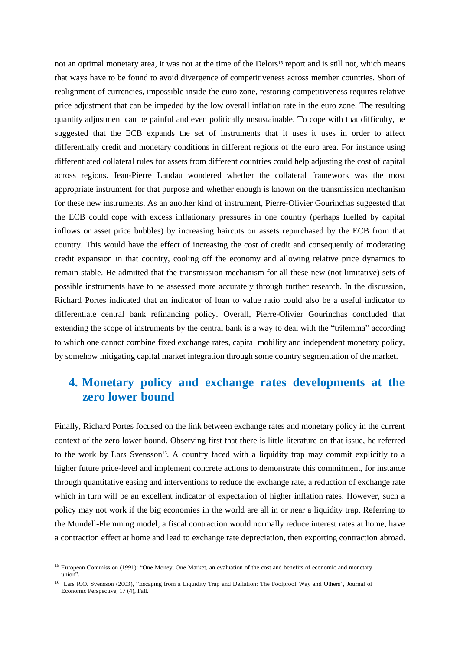not an optimal monetary area, it was not at the time of the Delors<sup>15</sup> report and is still not, which means that ways have to be found to avoid divergence of competitiveness across member countries. Short of realignment of currencies, impossible inside the euro zone, restoring competitiveness requires relative price adjustment that can be impeded by the low overall inflation rate in the euro zone. The resulting quantity adjustment can be painful and even politically unsustainable. To cope with that difficulty, he suggested that the ECB expands the set of instruments that it uses it uses in order to affect differentially credit and monetary conditions in different regions of the euro area. For instance using differentiated collateral rules for assets from different countries could help adjusting the cost of capital across regions. Jean-Pierre Landau wondered whether the collateral framework was the most appropriate instrument for that purpose and whether enough is known on the transmission mechanism for these new instruments. As an another kind of instrument, Pierre-Olivier Gourinchas suggested that the ECB could cope with excess inflationary pressures in one country (perhaps fuelled by capital inflows or asset price bubbles) by increasing haircuts on assets repurchased by the ECB from that country. This would have the effect of increasing the cost of credit and consequently of moderating credit expansion in that country, cooling off the economy and allowing relative price dynamics to remain stable. He admitted that the transmission mechanism for all these new (not limitative) sets of possible instruments have to be assessed more accurately through further research. In the discussion, Richard Portes indicated that an indicator of loan to value ratio could also be a useful indicator to differentiate central bank refinancing policy. Overall, Pierre-Olivier Gourinchas concluded that extending the scope of instruments by the central bank is a way to deal with the "trilemma" according to which one cannot combine fixed exchange rates, capital mobility and independent monetary policy, by somehow mitigating capital market integration through some country segmentation of the market.

### **4. Monetary policy and exchange rates developments at the zero lower bound**

Finally, Richard Portes focused on the link between exchange rates and monetary policy in the current context of the zero lower bound. Observing first that there is little literature on that issue, he referred to the work by Lars Svensson<sup>16</sup>. A country faced with a liquidity trap may commit explicitly to a higher future price-level and implement concrete actions to demonstrate this commitment, for instance through quantitative easing and interventions to reduce the exchange rate, a reduction of exchange rate which in turn will be an excellent indicator of expectation of higher inflation rates. However, such a policy may not work if the big economies in the world are all in or near a liquidity trap. Referring to the Mundell-Flemming model, a fiscal contraction would normally reduce interest rates at home, have a contraction effect at home and lead to exchange rate depreciation, then exporting contraction abroad.

<sup>&</sup>lt;sup>15</sup> European Commission (1991): "One Money, One Market, an evaluation of the cost and benefits of economic and monetary union".

<sup>&</sup>lt;sup>16</sup> Lars R.O. Svensson (2003), "Escaping from a Liquidity Trap and Deflation: The Foolproof Way and Others", Journal of Economic Perspective, 17 (4), Fall.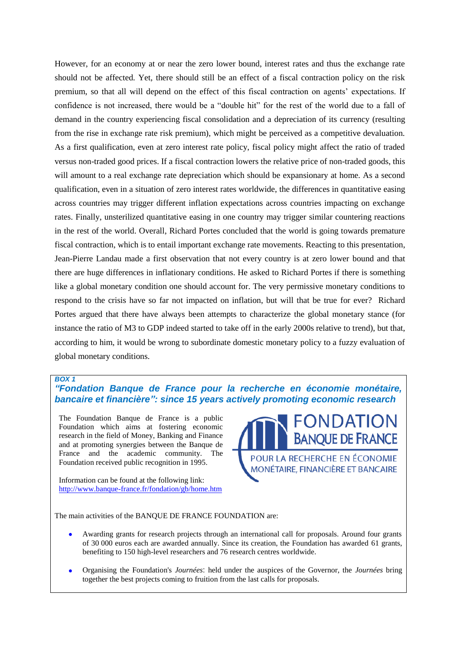However, for an economy at or near the zero lower bound, interest rates and thus the exchange rate should not be affected. Yet, there should still be an effect of a fiscal contraction policy on the risk premium, so that all will depend on the effect of this fiscal contraction on agents' expectations. If confidence is not increased, there would be a "double hit" for the rest of the world due to a fall of demand in the country experiencing fiscal consolidation and a depreciation of its currency (resulting from the rise in exchange rate risk premium), which might be perceived as a competitive devaluation. As a first qualification, even at zero interest rate policy, fiscal policy might affect the ratio of traded versus non-traded good prices. If a fiscal contraction lowers the relative price of non-traded goods, this will amount to a real exchange rate depreciation which should be expansionary at home. As a second qualification, even in a situation of zero interest rates worldwide, the differences in quantitative easing across countries may trigger different inflation expectations across countries impacting on exchange rates. Finally, unsterilized quantitative easing in one country may trigger similar countering reactions in the rest of the world. Overall, Richard Portes concluded that the world is going towards premature fiscal contraction, which is to entail important exchange rate movements. Reacting to this presentation, Jean-Pierre Landau made a first observation that not every country is at zero lower bound and that there are huge differences in inflationary conditions. He asked to Richard Portes if there is something like a global monetary condition one should account for. The very permissive monetary conditions to respond to the crisis have so far not impacted on inflation, but will that be true for ever? Richard Portes argued that there have always been attempts to characterize the global monetary stance (for instance the ratio of M3 to GDP indeed started to take off in the early 2000s relative to trend), but that, according to him, it would be wrong to subordinate domestic monetary policy to a fuzzy evaluation of global monetary conditions.

#### *BOX 1*

*"Fondation Banque de France pour la recherche en économie monétaire, bancaire et financière": since 15 years actively promoting economic research* 

The Foundation Banque de France is a public Foundation which aims at fostering economic research in the field of Money, Banking and Finance and at promoting synergies between the Banque de France and the academic community. The Foundation received public recognition in 1995.

Information can be found at the following link: <http://www.banque-france.fr/fondation/gb/home.htm>



The main activities of the BANQUE DE FRANCE FOUNDATION are:

- Awarding grants for research projects through an international call for proposals. Around four grants  $\bullet$ of 30 000 euros each are awarded annually. Since its creation, the Foundation has awarded 61 grants, benefiting to 150 high-level researchers and 76 research centres worldwide.
- Organising the Foundation's *Journées*: held under the auspices of the Governor, the *Journées* bring  $\bullet$ together the best projects coming to fruition from the last calls for proposals.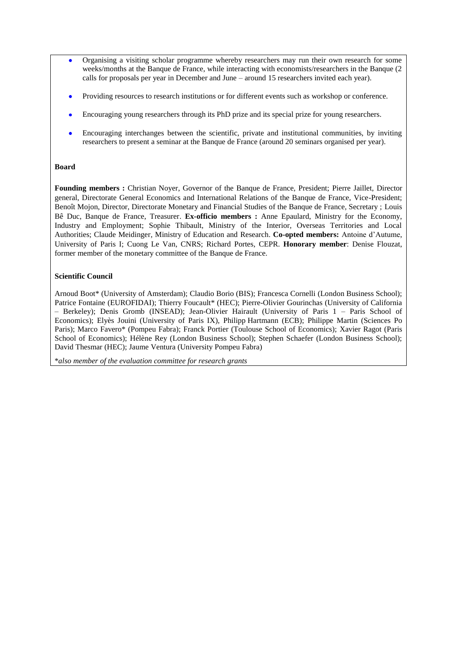- Organising a visiting scholar programme whereby researchers may run their own research for some weeks/months at the Banque de France, while interacting with economists/researchers in the Banque (2 calls for proposals per year in December and June – around 15 researchers invited each year).
- Providing resources to research institutions or for different events such as workshop or conference.
- Encouraging young researchers through its PhD prize and its special prize for young researchers.
- Encouraging interchanges between the scientific, private and institutional communities, by inviting researchers to present a seminar at the Banque de France (around 20 seminars organised per year).

#### **Board**

**Founding members :** Christian Noyer, Governor of the Banque de France, President; Pierre Jaillet, Director general, Directorate General Economics and International Relations of the Banque de France, Vice-President; Benoît Mojon, Director, Directorate Monetary and Financial Studies of the Banque de France, Secretary ; Louis Bê Duc, Banque de France, Treasurer. **Ex-officio members :** Anne Epaulard, Ministry for the Economy, Industry and Employment; Sophie Thibault, Ministry of the Interior, Overseas Territories and Local Authorities; Claude Meidinger, Ministry of Education and Research. **Co-opted members:** Antoine d'Autume, University of Paris I; Cuong Le Van, CNRS; Richard Portes, CEPR. **Honorary member**: Denise Flouzat, former member of the monetary committee of the Banque de France.

#### **Scientific Council**

Arnoud Boot\* (University of Amsterdam); Claudio Borio (BIS); Francesca Cornelli (London Business School); Patrice Fontaine (EUROFIDAI); Thierry Foucault\* (HEC); Pierre-Olivier Gourinchas (University of California – Berkeley); Denis Gromb (INSEAD); Jean-Olivier Hairault (University of Paris 1 – Paris School of Economics); Elyès Jouini (University of Paris IX), Philipp Hartmann (ECB); Philippe Martin (Sciences Po Paris); Marco Favero\* (Pompeu Fabra); Franck Portier (Toulouse School of Economics); Xavier Ragot (Paris School of Economics); Hélène Rey (London Business School); Stephen Schaefer (London Business School); David Thesmar (HEC); Jaume Ventura (University Pompeu Fabra)

\**also member of the evaluation committee for research grants*